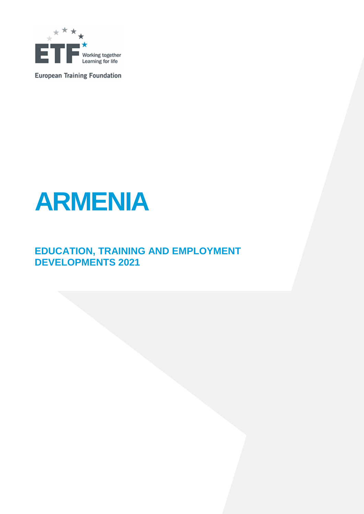

**European Training Foundation** 



## **EDUCATION, TRAINING AND EMPLOYMENT DEVELOPMENTS 2021**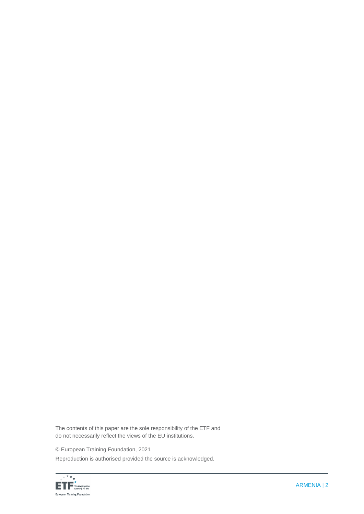The contents of this paper are the sole responsibility of the ETF and do not necessarily reflect the views of the EU institutions.

© European Training Foundation, 2021

Reproduction is authorised provided the source is acknowledged.

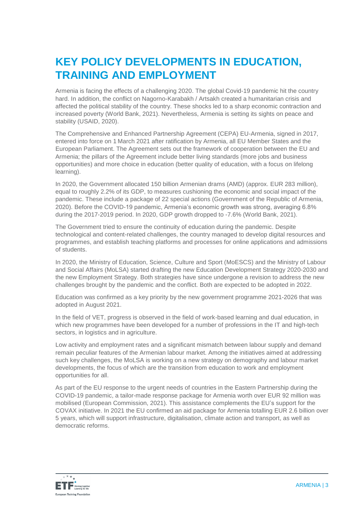## **KEY POLICY DEVELOPMENTS IN EDUCATION, TRAINING AND EMPLOYMENT**

Armenia is facing the effects of a challenging 2020. The global Covid-19 pandemic hit the country hard. In addition, the conflict on Nagorno-Karabakh / Artsakh created a humanitarian crisis and affected the political stability of the country. These shocks led to a sharp economic contraction and increased poverty (World Bank, 2021). Nevertheless, Armenia is setting its sights on peace and stability (USAID, 2020).

The Comprehensive and Enhanced Partnership Agreement (CEPA) EU-Armenia, signed in 2017, entered into force on 1 March 2021 after ratification by Armenia, all EU Member States and the European Parliament. The Agreement sets out the framework of cooperation between the EU and Armenia; the pillars of the Agreement include better living standards (more jobs and business opportunities) and more choice in education (better quality of education, with a focus on lifelong learning).

In 2020, the Government allocated 150 billion Armenian drams (AMD) (approx. EUR 283 million), equal to roughly 2.2% of its GDP, to measures cushioning the economic and social impact of the pandemic. These include a package of 22 special actions (Government of the Republic of Armenia, 2020). Before the COVID-19 pandemic, Armenia's economic growth was strong, averaging 6.8% during the 2017-2019 period. In 2020, GDP growth dropped to -7.6% (World Bank, 2021).

The Government tried to ensure the continuity of education during the pandemic. Despite technological and content-related challenges, the country managed to develop digital resources and programmes, and establish teaching platforms and processes for online applications and admissions of students.

In 2020, the Ministry of Education, Science, Culture and Sport (MoESCS) and the Ministry of Labour and Social Affairs (MoLSA) started drafting the new Education Development Strategy 2020-2030 and the new Employment Strategy. Both strategies have since undergone a revision to address the new challenges brought by the pandemic and the conflict. Both are expected to be adopted in 2022.

Education was confirmed as a key priority by the new government programme 2021-2026 that was adopted in August 2021.

In the field of VET, progress is observed in the field of work-based learning and dual education, in which new programmes have been developed for a number of professions in the IT and high-tech sectors, in logistics and in agriculture.

Low activity and employment rates and a significant mismatch between labour supply and demand remain peculiar features of the Armenian labour market. Among the initiatives aimed at addressing such key challenges, the MoLSA is working on a new strategy on demography and labour market developments, the focus of which are the transition from education to work and employment opportunities for all.

As part of the EU response to the urgent needs of countries in the Eastern Partnership during the COVID-19 pandemic, a tailor-made response package for Armenia worth over EUR 92 million was mobilised (European Commission, 2021). This assistance complements the EU's support for the COVAX initiative. In 2021 the EU confirmed an aid package for Armenia totalling EUR 2.6 billion over 5 years, which will support infrastructure, digitalisation, climate action and transport, as well as democratic reforms.

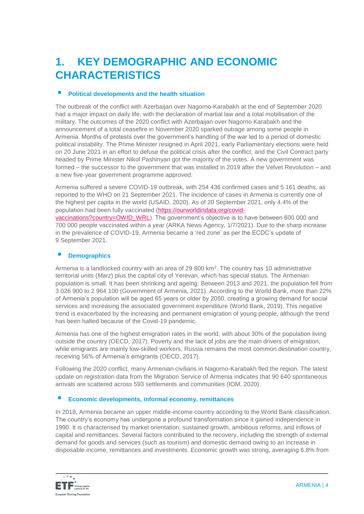## **1. KEY DEMOGRAPHIC AND ECONOMIC CHARACTERISTICS**

#### **Political developments and the health situation**

The outbreak of the conflict with Azerbaijan over Nagorno-Karabakh at the end of September 2020 had a major impact on daily life, with the declaration of martial law and a total mobilisation of the military. The outcomes of the 2020 conflict with Azerbaijan over Nagorno Karabakh and the announcement of a total ceasefire in November 2020 sparked outrage among some people in Armenia. Months of protests over the government's handling of the war led to a period of domestic political instability. The Prime Minister resigned in April 2021, early Parliamentary elections were held on 20 June 2021 in an effort to defuse the political crisis after the conflict, and the Civil Contract party headed by Prime Minister Nikol Pashinyan got the majority of the votes. A new government was formed – the successor to the government that was installed in 2019 after the Velvet Revolution – and a new five-year government programme approved.

Armenia suffered a severe COVID-19 outbreak, with 254 436 confirmed cases and 5 161 deaths, as reported to the WHO on 21 September 2021. The incidence of cases in Armenia is currently one of the highest per capita in the world (USAID, 2020). As of 20 September 2021, only 4.4% of the population had been fully vaccinated [\(https://ourworldindata.org/covid](https://ourworldindata.org/covid-vaccinations?country=OWID_WRL)[vaccinations?country=OWID\\_WRL\)](https://ourworldindata.org/covid-vaccinations?country=OWID_WRL). The government's objective is to have between 600 000 and 700 000 people vaccinated within a year (ARKA News Agency, 1/7/2021). Due to the sharp increase in the prevalence of COVID-19, Armenia became a 'red zone' as per the ECDC's update of 9 September 2021.

#### **Demographics**

Armenia is a landlocked country with an area of 29 800 km<sup>2</sup>. The country has 10 administrative territorial units (*Marz*) plus the capital city of Yerevan, which has special status. The Armenian population is small. It has been shrinking and ageing. Between 2013 and 2021, the population fell from 3 026 900 to 2 964 100 (Government of Armenia, 2021). According to the World Bank, more than 22% of Armenia's population will be aged 65 years or older by 2050, creating a growing demand for social services and increasing the associated government expenditure (World Bank, 2019). This negative trend is exacerbated by the increasing and permanent emigration of young people, although the trend has been halted because of the Covid-19 pandemic.

Armenia has one of the highest emigration rates in the world, with about 30% of the population living outside the country (OECD, 2017). Poverty and the lack of jobs are the main drivers of emigration, while emigrants are mainly low-skilled workers. Russia remains the most common destination country, receiving 56% of Armenia's emigrants (OECD, 2017).

Following the 2020 conflict, many Armenian civilians in Nagorno-Karabakh fled the region. The latest update on registration data from the Migration Service of Armenia indicates that 90 640 spontaneous arrivals are scattered across 593 settlements and communities (IOM, 2020).

#### **Economic developments, informal economy, remittances**

In 2018, Armenia became an upper middle-income country according to the World Bank classification. The country's economy has undergone a profound transformation since it gained independence in 1990. It is characterised by market orientation, sustained growth, ambitious reforms, and inflows of capital and remittances. Several factors contributed to the recovery, including the strength of external demand for goods and services (such as tourism) and domestic demand owing to an increase in disposable income, remittances and investments. Economic growth was strong, averaging 6.8% from

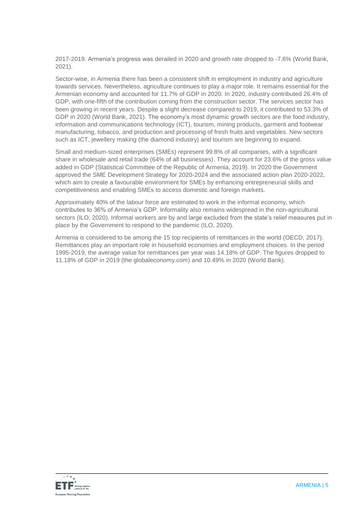2017-2019. Armenia's progress was derailed in 2020 and growth rate dropped to -7.6% (World Bank, 2021).

Sector-wise, in Armenia there has been a consistent shift in employment in industry and agriculture towards services. Nevertheless, agriculture continues to play a major role. It remains essential for the Armenian economy and accounted for 11.7% of GDP in 2020. In 2020, industry contributed 26.4% of GDP, with one-fifth of the contribution coming from the construction sector. The services sector has been growing in recent years. Despite a slight decrease compared to 2019, it contributed to 53.3% of GDP in 2020 (World Bank, 2021). The economy's most dynamic growth sectors are the food industry, information and communications technology (ICT), tourism, mining products, garment and footwear manufacturing, tobacco, and production and processing of fresh fruits and vegetables. New sectors such as ICT, jewellery making (the diamond industry) and tourism are beginning to expand.

Small and medium-sized enterprises (SMEs) represent 99.8% of all companies, with a significant share in wholesale and retail trade (64% of all businesses). They account for 23.6% of the gross value added in GDP (Statistical Committee of the Republic of Armenia, 2019). In 2020 the Government approved the SME Development Strategy for 2020-2024 and the associated action plan 2020-2022, which aim to create a favourable environment for SMEs by enhancing entrepreneurial skills and competitiveness and enabling SMEs to access domestic and foreign markets.

Approximately 40% of the labour force are estimated to work in the informal economy, which contributes to 36% of Armenia's GDP. Informality also remains widespread in the non-agricultural sectors (ILO, 2020). Informal workers are by and large excluded from the state's relief measures put in place by the Government to respond to the pandemic (ILO, 2020).

Armenia is considered to be among the 15 top recipients of remittances in the world (OECD, 2017). Remittances play an important role in household economies and employment choices. In the period 1995-2019, the average value for remittances per year was 14.18% of GDP. The figures dropped to 11.18% of GDP in 2019 (the globaleconomy.com) and 10.49% in 2020 (World Bank).

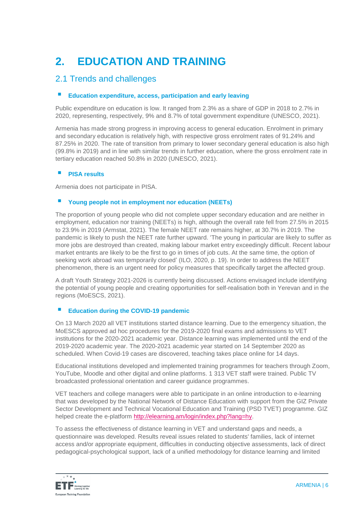# **2. EDUCATION AND TRAINING**

### 2.1 Trends and challenges

#### **Education expenditure, access, participation and early leaving**

Public expenditure on education is low. It ranged from 2.3% as a share of GDP in 2018 to 2.7% in 2020, representing, respectively, 9% and 8.7% of total government expenditure (UNESCO, 2021).

Armenia has made strong progress in improving access to general education. Enrolment in primary and secondary education is relatively high, with respective gross enrolment rates of 91.24% and 87.25% in 2020. The rate of transition from primary to lower secondary general education is also high (99.8% in 2019) and in line with similar trends in further education, where the gross enrolment rate in tertiary education reached 50.8% in 2020 (UNESCO, 2021).

#### **PISA results**

Armenia does not participate in PISA.

#### **Young people not in employment nor education (NEETs)**

The proportion of young people who did not complete upper secondary education and are neither in employment, education nor training (NEETs) is high, although the overall rate fell from 27.5% in 2015 to 23.9% in 2019 (Armstat, 2021). The female NEET rate remains higher, at 30.7% in 2019. The pandemic is likely to push the NEET rate further upward. 'The young in particular are likely to suffer as more jobs are destroyed than created, making labour market entry exceedingly difficult. Recent labour market entrants are likely to be the first to go in times of job cuts. At the same time, the option of seeking work abroad was temporarily closed' (ILO, 2020, p. 19). In order to address the NEET phenomenon, there is an urgent need for policy measures that specifically target the affected group.

A draft Youth Strategy 2021-2026 is currently being discussed. Actions envisaged include identifying the potential of young people and creating opportunities for self-realisation both in Yerevan and in the regions (MoESCS, 2021).

#### **Education during the COVID-19 pandemic**

On 13 March 2020 all VET institutions started distance learning. Due to the emergency situation, the MoESCS approved ad hoc procedures for the 2019-2020 final exams and admissions to VET institutions for the 2020-2021 academic year. Distance learning was implemented until the end of the 2019-2020 academic year. The 2020-2021 academic year started on 14 September 2020 as scheduled. When Covid-19 cases are discovered, teaching takes place online for 14 days.

Educational institutions developed and implemented training programmes for teachers through Zoom, YouTube, Moodle and other digital and online platforms. 1 313 VET staff were trained. Public TV broadcasted professional orientation and career guidance programmes.

VET teachers and college managers were able to participate in an online introduction to e-learning that was developed by the National Network of Distance Education with support from the GIZ Private Sector Development and Technical Vocational Education and Training (PSD TVET) programme. GIZ helped create the e-platform [http://elearning.am/login/index.php?lang=hy.](http://elearning.am/login/index.php?lang=hy)

To assess the effectiveness of distance learning in VET and understand gaps and needs, a questionnaire was developed. Results reveal issues related to students' families, lack of internet access and/or appropriate equipment, difficulties in conducting objective assessments, lack of direct pedagogical-psychological support, lack of a unified methodology for distance learning and limited

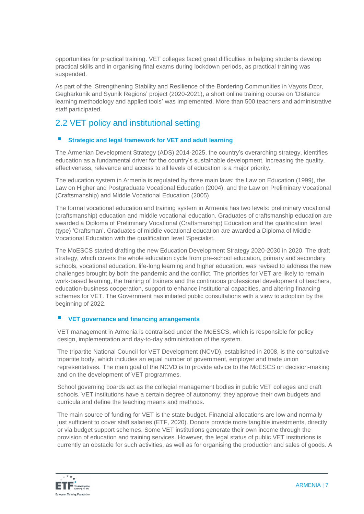opportunities for practical training. VET colleges faced great difficulties in helping students develop practical skills and in organising final exams during lockdown periods, as practical training was suspended.

As part of the 'Strengthening Stability and Resilience of the Bordering Communities in Vayots Dzor, Gegharkunik and Syunik Regions' project (2020-2021), a short online training course on 'Distance learning methodology and applied tools' was implemented. More than 500 teachers and administrative staff participated.

## 2.2 VET policy and institutional setting

#### **Strategic and legal framework for VET and adult learning**

The Armenian Development Strategy (ADS) 2014-2025, the country's overarching strategy, identifies education as a fundamental driver for the country's sustainable development. Increasing the quality, effectiveness, relevance and access to all levels of education is a major priority.

The education system in Armenia is regulated by three main laws: the Law on Education (1999), the Law on Higher and Postgraduate Vocational Education (2004), and the Law on Preliminary Vocational (Craftsmanship) and Middle Vocational Education (2005).

The formal vocational education and training system in Armenia has two levels: preliminary vocational (craftsmanship) education and middle vocational education. Graduates of craftsmanship education are awarded a Diploma of Preliminary Vocational (Craftsmanship) Education and the qualification level (type) 'Craftsman'. Graduates of middle vocational education are awarded a Diploma of Middle Vocational Education with the qualification level 'Specialist.

The MoESCS started drafting the new Education Development Strategy 2020-2030 in 2020. The draft strategy, which covers the whole education cycle from pre-school education, primary and secondary schools, vocational education, life-long learning and higher education, was revised to address the new challenges brought by both the pandemic and the conflict. The priorities for VET are likely to remain work-based learning, the training of trainers and the continuous professional development of teachers, education-business cooperation, support to enhance institutional capacities, and altering financing schemes for VET. The Government has initiated public consultations with a view to adoption by the beginning of 2022.

### **VET governance and financing arrangements**

VET management in Armenia is centralised under the MoESCS, which is responsible for policy design, implementation and day-to-day administration of the system.

The tripartite National Council for VET Development (NCVD), established in 2008, is the consultative tripartite body, which includes an equal number of government, employer and trade union representatives. The main goal of the NCVD is to provide advice to the MoESCS on decision-making and on the development of VET programmes.

School governing boards act as the collegial management bodies in public VET colleges and craft schools. VET institutions have a certain degree of autonomy; they approve their own budgets and curricula and define the teaching means and methods.

The main source of funding for VET is the state budget. Financial allocations are low and normally just sufficient to cover staff salaries (ETF, 2020). Donors provide more tangible investments, directly or via budget support schemes. Some VET institutions generate their own income through the provision of education and training services. However, the legal status of public VET institutions is currently an obstacle for such activities, as well as for organising the production and sales of goods. A

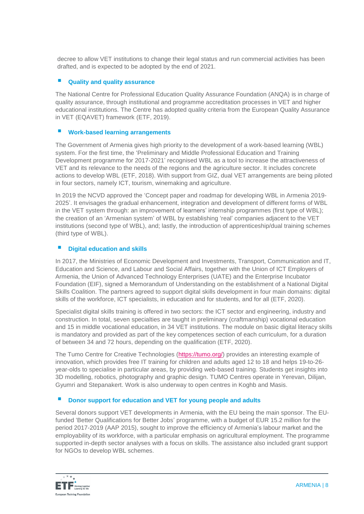decree to allow VET institutions to change their legal status and run commercial activities has been drafted, and is expected to be adopted by the end of 2021.

#### **Quality and quality assurance**

The National Centre for Professional Education Quality Assurance Foundation (ANQA) is in charge of quality assurance, through institutional and programme accreditation processes in VET and higher educational institutions. The Centre has adopted quality criteria from the European Quality Assurance in VET (EQAVET) framework (ETF, 2019).

#### **Work-based learning arrangements**

The Government of Armenia gives high priority to the development of a work-based learning (WBL) system. For the first time, the 'Preliminary and Middle Professional Education and Training Development programme for 2017-2021' recognised WBL as a tool to increase the attractiveness of VET and its relevance to the needs of the regions and the agriculture sector. It includes concrete actions to develop WBL (ETF, 2018). With support from GIZ, dual VET arrangements are being piloted in four sectors, namely ICT, tourism, winemaking and agriculture.

In 2019 the NCVD approved the 'Concept paper and roadmap for developing WBL in Armenia 2019- 2025'. It envisages the gradual enhancement, integration and development of different forms of WBL in the VET system through: an improvement of learners' internship programmes (first type of WBL); the creation of an 'Armenian system' of WBL by establishing 'real' companies adjacent to the VET institutions (second type of WBL), and; lastly, the introduction of apprenticeship/dual training schemes (third type of WBL).

### **Digital education and skills**

In 2017, the Ministries of Economic Development and Investments, Transport, Communication and IT, Education and Science, and Labour and Social Affairs, together with the Union of ICT Employers of Armenia, the Union of Advanced Technology Enterprises (UATE) and the Enterprise Incubator Foundation (EIF), signed a Memorandum of Understanding on the establishment of a National Digital Skills Coalition. The partners agreed to support digital skills development in four main domains: digital skills of the workforce, ICT specialists, in education and for students, and for all (ETF, 2020).

Specialist digital skills training is offered in two sectors: the ICT sector and engineering, industry and construction. In total, seven specialties are taught in preliminary (craftmanship) vocational education and 15 in middle vocational education, in 34 VET institutions. The module on basic digital literacy skills is mandatory and provided as part of the key competences section of each curriculum, for a duration of between 34 and 72 hours, depending on the qualification (ETF, 2020).

The Tumo Centre for Creative Technologies [\(https://tumo.org/\)](https://tumo.org/) provides an interesting example of innovation, which provides free IT training for children and adults aged 12 to 18 and helps 19-to-26 year-olds to specialise in particular areas, by providing web-based training. Students get insights into 3D modelling, robotics, photography and graphic design. TUMO Centres operate in Yerevan, Dilijan, Gyumri and Stepanakert. Work is also underway to open centres in Koghb and Masis.

### **Donor support for education and VET for young people and adults**

Several donors support VET developments in Armenia, with the EU being the main sponsor. The EUfunded 'Better Qualifications for Better Jobs' programme, with a budget of EUR 15.2 million for the period 2017-2019 (AAP 2015), sought to improve the efficiency of Armenia's labour market and the employability of its workforce, with a particular emphasis on agricultural employment. The programme supported in-depth sector analyses with a focus on skills. The assistance also included grant support for NGOs to develop WBL schemes.

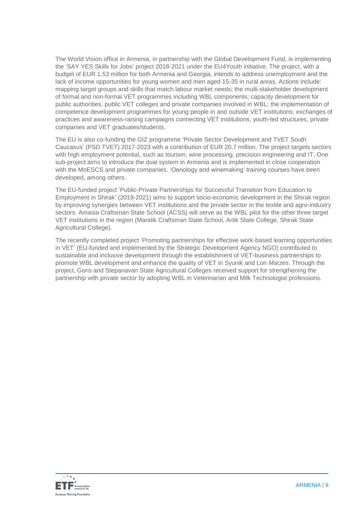The World Vision office in Armenia, in partnership with the Global Development Fund, is implementing the 'SAY YES Skills for Jobs' project 2018-2021 under the EU4Youth initiative. The project, with a budget of EUR 1.53 million for both Armenia and Georgia, intends to address unemployment and the lack of income opportunities for young women and men aged 15-35 in rural areas. Actions include: mapping target groups and skills that match labour market needs; the multi-stakeholder development of formal and non-formal VET programmes including WBL components; capacity development for public authorities, public VET colleges and private companies involved in WBL; the implementation of competence development programmes for young people in and outside VET institutions; exchanges of practices and awareness-raising campaigns connecting VET institutions, youth-led structures, private companies and VET graduates/students.

The EU is also co-funding the GIZ programme 'Private Sector Development and TVET South Caucasus' (PSD TVET) 2017-2023 with a contribution of EUR 20.7 million. The project targets sectors with high employment potential, such as tourism, wine processing, precision engineering and IT. One sub-project aims to introduce the dual system in Armenia and is implemented in close cooperation with the MoESCS and private companies. 'Oenology and winemaking' training courses have been developed, among others.

The EU-funded project 'Public-Private Partnerships for Successful Transition from Education to Employment in Shirak' (2019-2021) aims to support socio-economic development in the Shirak region by improving synergies between VET institutions and the private sector in the textile and agro-industry sectors. Amasia Craftsman State School (ACSS) will serve as the WBL pilot for the other three target VET institutions in the region (Maralik Craftsman State School, Artik State College, Shirak State Agricultural College).

The recently completed project 'Promoting partnerships for effective work-based learning opportunities in VET' (EU-funded and implemented by the Strategic Development Agency NGO) contributed to sustainable and inclusive development through the establishment of VET-business partnerships to promote WBL development and enhance the quality of VET in Syunik and Lori *Marzes*. Through the project, Goris and Stepanavan State Agricultural Colleges received support for strengthening the partnership with private sector by adopting WBL in Veterinarian and Milk Technologist professions.

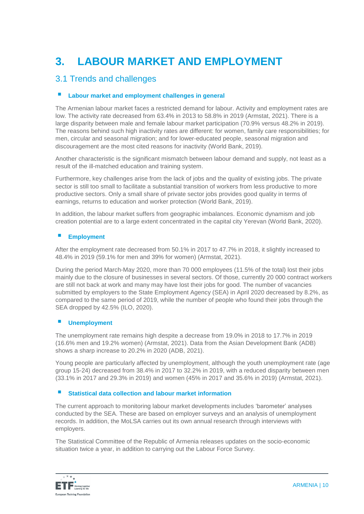# **3. LABOUR MARKET AND EMPLOYMENT**

### 3.1 Trends and challenges

#### **Labour market and employment challenges in general**

The Armenian labour market faces a restricted demand for labour. Activity and employment rates are low. The activity rate decreased from 63.4% in 2013 to 58.8% in 2019 (Armstat, 2021). There is a large disparity between male and female labour market participation (70.9% versus 48.2% in 2019). The reasons behind such high inactivity rates are different: for women, family care responsibilities; for men, circular and seasonal migration; and for lower-educated people, seasonal migration and discouragement are the most cited reasons for inactivity (World Bank, 2019).

Another characteristic is the significant mismatch between labour demand and supply, not least as a result of the ill-matched education and training system.

Furthermore, key challenges arise from the lack of jobs and the quality of existing jobs. The private sector is still too small to facilitate a substantial transition of workers from less productive to more productive sectors. Only a small share of private sector jobs provides good quality in terms of earnings, returns to education and worker protection (World Bank, 2019).

In addition, the labour market suffers from geographic imbalances. Economic dynamism and job creation potential are to a large extent concentrated in the capital city Yerevan (World Bank, 2020).

### **Employment**

After the employment rate decreased from 50.1% in 2017 to 47.7% in 2018, it slightly increased to 48.4% in 2019 (59.1% for men and 39% for women) (Armstat, 2021).

During the period March-May 2020, more than 70 000 employees (11.5% of the total) lost their jobs mainly due to the closure of businesses in several sectors. Of those, currently 20 000 contract workers are still not back at work and many may have lost their jobs for good. The number of vacancies submitted by employers to the State Employment Agency (SEA) in April 2020 decreased by 8.2%, as compared to the same period of 2019, while the number of people who found their jobs through the SEA dropped by 42.5% (ILO, 2020).

### **Unemployment**

The unemployment rate remains high despite a decrease from 19.0% in 2018 to 17.7% in 2019 (16.6% men and 19.2% women) (Armstat, 2021). Data from the Asian Development Bank (ADB) shows a sharp increase to 20.2% in 2020 (ADB, 2021).

Young people are particularly affected by unemployment, although the youth unemployment rate (age group 15-24) decreased from 38.4% in 2017 to 32.2% in 2019, with a reduced disparity between men (33.1% in 2017 and 29.3% in 2019) and women (45% in 2017 and 35.6% in 2019) (Armstat, 2021).

#### **Statistical data collection and labour market information**

The current approach to monitoring labour market developments includes 'barometer' analyses conducted by the SEA. These are based on employer surveys and an analysis of unemployment records. In addition, the MoLSA carries out its own annual research through interviews with employers.

The Statistical Committee of the Republic of Armenia releases updates on the socio-economic situation twice a year, in addition to carrying out the Labour Force Survey.

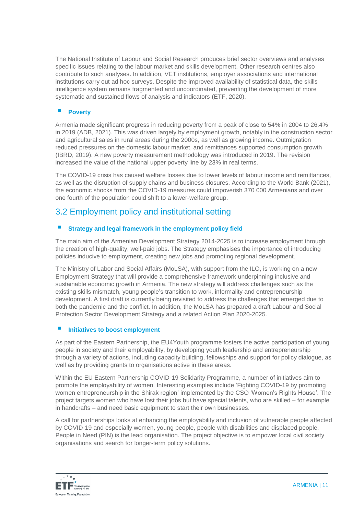The National Institute of Labour and Social Research produces brief sector overviews and analyses specific issues relating to the labour market and skills development. Other research centres also contribute to such analyses. In addition, VET institutions, employer associations and international institutions carry out ad hoc surveys. Despite the improved availability of statistical data, the skills intelligence system remains fragmented and uncoordinated, preventing the development of more systematic and sustained flows of analysis and indicators (ETF, 2020).

#### **Poverty**

Armenia made significant progress in reducing poverty from a peak of close to 54% in 2004 to 26.4% in 2019 (ADB, 2021). This was driven largely by employment growth, notably in the construction sector and agricultural sales in rural areas during the 2000s, as well as growing income. Outmigration reduced pressures on the domestic labour market, and remittances supported consumption growth (IBRD, 2019). A new poverty measurement methodology was introduced in 2019. The revision increased the value of the national upper poverty line by 23% in real terms.

The COVID-19 crisis has caused welfare losses due to lower levels of labour income and remittances, as well as the disruption of supply chains and business closures. According to the World Bank (2021), the economic shocks from the COVID-19 measures could impoverish 370 000 Armenians and over one fourth of the population could shift to a lower-welfare group.

### 3.2 Employment policy and institutional setting

### **Strategy and legal framework in the employment policy field**

The main aim of the Armenian Development Strategy 2014-2025 is to increase employment through the creation of high-quality, well-paid jobs. The Strategy emphasises the importance of introducing policies inducive to employment, creating new jobs and promoting regional development.

The Ministry of Labor and Social Affairs (MoLSA), with support from the ILO, is working on a new Employment Strategy that will provide a comprehensive framework underpinning inclusive and sustainable economic growth in Armenia. The new strategy will address challenges such as the existing skills mismatch, young people's transition to work, informality and entrepreneurship development. A first draft is currently being revisited to address the challenges that emerged due to both the pandemic and the conflict. In addition, the MoLSA has prepared a draft Labour and Social Protection Sector Development Strategy and a related Action Plan 2020-2025.

### **Initiatives to boost employment**

As part of the Eastern Partnership, the EU4Youth programme fosters the active participation of young people in society and their employability, by developing youth leadership and entrepreneurship through a variety of actions, including capacity building, fellowships and support for policy dialogue, as well as by providing grants to organisations active in these areas.

Within the EU Eastern Partnership COVID-19 Solidarity Programme, a number of initiatives aim to promote the employability of women. Interesting examples include 'Fighting COVID-19 by promoting women entrepreneurship in the Shirak region' implemented by the CSO 'Women's Rights House'. The project targets women who have lost their jobs but have special talents, who are skilled – for example in handcrafts – and need basic equipment to start their own businesses.

A call for partnerships looks at enhancing the employability and inclusion of vulnerable people affected by COVID-19 and especially women, young people, people with disabilities and displaced people. People in Need (PIN) is the lead organisation. The project objective is to empower local civil society organisations and search for longer-term policy solutions.

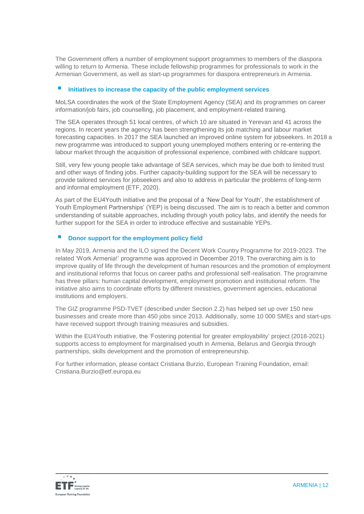The Government offers a number of employment support programmes to members of the diaspora willing to return to Armenia. These include fellowship programmes for professionals to work in the Armenian Government, as well as start-up programmes for diaspora entrepreneurs in Armenia.

#### **Initiatives to increase the capacity of the public employment services**

MoLSA coordinates the work of the State Employment Agency (SEA) and its programmes on career information/job fairs, job counselling, job placement, and employment-related training.

The SEA operates through 51 local centres, of which 10 are situated in Yerevan and 41 across the regions. In recent years the agency has been strengthening its job matching and labour market forecasting capacities. In 2017 the SEA launched an improved online system for jobseekers. In 2018 a new programme was introduced to support young unemployed mothers entering or re-entering the labour market through the acquisition of professional experience, combined with childcare support.

Still, very few young people take advantage of SEA services, which may be due both to limited trust and other ways of finding jobs. Further capacity-building support for the SEA will be necessary to provide tailored services for jobseekers and also to address in particular the problems of long-term and informal employment (ETF, 2020).

As part of the EU4Youth initiative and the proposal of a 'New Deal for Youth', the establishment of Youth Employment Partnerships' (YEP) is being discussed. The aim is to reach a better and common understanding of suitable approaches, including through youth policy labs, and identify the needs for further support for the SEA in order to introduce effective and sustainable YEPs.

### **Donor support for the employment policy field**

In May 2019, Armenia and the ILO signed the Decent Work Country Programme for 2019-2023. The related 'Work Armenia!' programme was approved in December 2019. The overarching aim is to improve quality of life through the development of human resources and the promotion of employment and institutional reforms that focus on career paths and professional self-realisation. The programme has three pillars: human capital development, employment promotion and institutional reform. The initiative also aims to coordinate efforts by different ministries, government agencies, educational institutions and employers.

The GIZ programme PSD-TVET (described under Section 2.2) has helped set up over 150 new businesses and create more than 450 jobs since 2013. Additionally, some 10 000 SMEs and start-ups have received support through training measures and subsidies.

Within the EU4Youth initiative, the 'Fostering potential for greater employability' project (2018-2021) supports access to employment for marginalised youth in Armenia, Belarus and Georgia through partnerships, skills development and the promotion of entrepreneurship.

For further information, please contact Cristiana Burzio, European Training Foundation, email: Cristiana.Burzio@etf.europa.eu

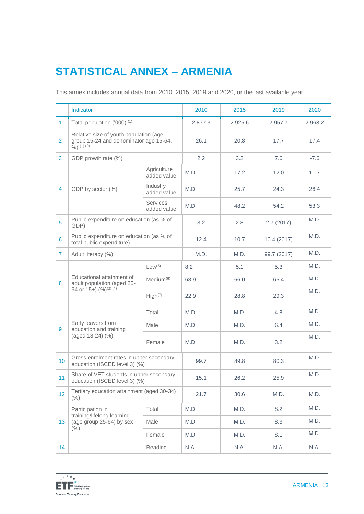# **STATISTICAL ANNEX – ARMENIA**

This annex includes annual data from 2010, 2015, 2019 and 2020, or the last available year.

|                | Indicator                                                                                     |                                | 2010    | 2015      | 2019        | 2020    |
|----------------|-----------------------------------------------------------------------------------------------|--------------------------------|---------|-----------|-------------|---------|
| $\mathbf{1}$   | Total population ('000) <sup>(1)</sup>                                                        |                                | 2 877.3 | 2 9 2 5.6 | 2 9 5 7.7   | 2 963.2 |
| $\overline{2}$ | Relative size of youth population (age<br>group 15-24 and denominator age 15-64,<br>9/0(1)(2) |                                | 26.1    | 20.8      | 17.7        | 17.4    |
| 3              | GDP growth rate (%)                                                                           |                                | 2.2     | 3.2       | 7.6         | $-7.6$  |
|                | GDP by sector (%)                                                                             | Agriculture<br>added value     | M.D.    | 17.2      | 12.0        | 11.7    |
| 4              |                                                                                               | Industry<br>added value        | M.D.    | 25.7      | 24.3        | 26.4    |
|                |                                                                                               | <b>Services</b><br>added value | M.D.    | 48.2      | 54.2        | 53.3    |
| 5              | Public expenditure on education (as % of<br>GDP)                                              |                                | 3.2     | 2.8       | 2.7(2017)   | M.D.    |
| 6              | Public expenditure on education (as % of<br>total public expenditure)                         |                                | 12.4    | 10.7      | 10.4(2017)  | M.D.    |
| $\overline{7}$ | Adult literacy (%)                                                                            |                                | M.D.    | M.D.      | 99.7 (2017) | M.D.    |
|                | Educational attainment of<br>adult population (aged 25-<br>64 or 15+) (%) <sup>(3)(4)</sup>   | Low <sup>(5)</sup>             | 8.2     | 5.1       | 5.3         | M.D.    |
| 8              |                                                                                               | Median <sup>(6)</sup>          | 68.9    | 66.0      | 65.4        | M.D.    |
|                |                                                                                               | High <sup>(7)</sup>            | 22.9    | 28.8      | 29.3        | M.D.    |
|                | Early leavers from<br>education and training<br>(aged 18-24) (%)                              | Total                          | M.D.    | M.D.      | 4.8         | M.D.    |
| 9              |                                                                                               | Male                           | M.D.    | M.D.      | 6.4         | M.D.    |
|                |                                                                                               | Female                         | M.D.    | M.D.      | 3.2         | M.D.    |
| 10             | Gross enrolment rates in upper secondary<br>education (ISCED level 3) (%)                     |                                | 99.7    | 89.8      | 80.3        | M.D.    |
| 11             | Share of VET students in upper secondary<br>education (ISCED level 3) (%)                     |                                | 15.1    | 26.2      | 25.9        | M.D.    |
| 12             | Tertiary education attainment (aged 30-34)<br>(% )                                            |                                | 21.7    | 30.6      | M.D.        | M.D.    |
|                | Participation in<br>training/lifelong learning<br>(age group 25-64) by sex<br>(% )            | Total                          | M.D.    | M.D.      | 8.2         | M.D.    |
| 13             |                                                                                               | Male                           | M.D.    | M.D.      | 8.3         | M.D.    |
|                |                                                                                               | Female                         | M.D.    | M.D.      | 8.1         | M.D.    |
| 14             |                                                                                               | Reading                        | N.A.    | N.A.      | N.A.        | N.A.    |

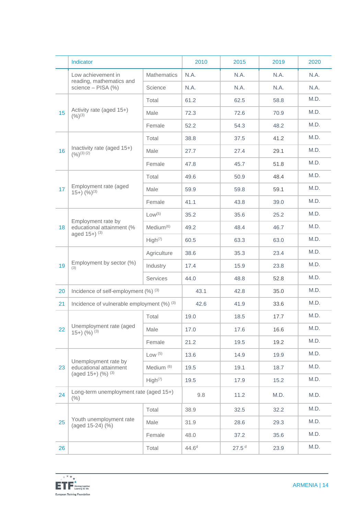|    | Indicator                                                             |                       | 2010              | 2015              | 2019 | 2020 |
|----|-----------------------------------------------------------------------|-----------------------|-------------------|-------------------|------|------|
|    | Low achievement in                                                    | <b>Mathematics</b>    | N.A.              | N.A.              | N.A. | N.A. |
|    | reading, mathematics and<br>science - PISA (%)                        | Science               | N.A.              | N.A.              | N.A. | N.A. |
| 15 |                                                                       | Total                 | 61.2              | 62.5              | 58.8 | M.D. |
|    | Activity rate (aged 15+)<br>$(9/6)^{(3)}$                             | Male                  | 72.3              | 72.6              | 70.9 | M.D. |
|    |                                                                       | Female                | 52.2              | 54.3              | 48.2 | M.D. |
|    | Inactivity rate (aged 15+)<br>$(9/0)^{(3)(2)}$                        | Total                 | 38.8              | 37.5              | 41.2 | M.D. |
| 16 |                                                                       | Male                  | 27.7              | 27.4              | 29.1 | M.D. |
|    |                                                                       | Female                | 47.8              | 45.7              | 51.8 | M.D. |
|    |                                                                       | Total                 | 49.6              | 50.9              | 48.4 | M.D. |
| 17 | Employment rate (aged<br>$(15+)$ $(%)^{(3)}$                          | Male                  | 59.9              | 59.8              | 59.1 | M.D. |
|    |                                                                       | Female                | 41.1              | 43.8              | 39.0 | M.D. |
|    | Employment rate by<br>educational attainment (%<br>aged $15+$ ) $(3)$ | Low <sup>(5)</sup>    | 35.2              | 35.6              | 25.2 | M.D. |
| 18 |                                                                       | $Median^{(6)}$        | 49.2              | 48.4              | 46.7 | M.D. |
|    |                                                                       | High <sup>(7)</sup>   | 60.5              | 63.3              | 63.0 | M.D. |
|    | Employment by sector (%)<br>(3)                                       | Agriculture           | 38.6              | 35.3              | 23.4 | M.D. |
| 19 |                                                                       | Industry              | 17.4              | 15.9              | 23.8 | M.D. |
|    |                                                                       | Services              | 44.0              | 48.8              | 52.8 | M.D. |
| 20 | Incidence of self-employment (%) (3)                                  |                       | 43.1              | 42.8              | 35.0 | M.D. |
| 21 | Incidence of vulnerable employment (%) (3)                            |                       | 42.6              | 41.9              | 33.6 | M.D. |
|    | Unemployment rate (aged<br>$15+)$ (%) $^{(3)}$                        | Total                 | 19.0              | 18.5              | 17.7 | M.D. |
| 22 |                                                                       | Male                  | 17.0              | 17.6              | 16.6 | M.D. |
|    |                                                                       | Female                | 21.2              | 19.5              | 19.2 | M.D. |
|    | Unemployment rate by<br>educational attainment                        | Low (5)               | 13.6              | 14.9              | 19.9 | M.D. |
| 23 |                                                                       | Medium <sup>(6)</sup> | 19.5              | 19.1              | 18.7 | M.D. |
|    | (aged 15+) (%) (3)                                                    | High <sup>(7)</sup>   | 19.5              | 17.9              | 15.2 | M.D. |
| 24 | Long-term unemployment rate (aged 15+)<br>(% )                        |                       | 9.8               | 11.2              | M.D. | M.D. |
|    | Youth unemployment rate<br>(aged 15-24) (%)                           | Total                 | 38.9              | 32.5              | 32.2 | M.D. |
| 25 |                                                                       | Male                  | 31.9              | 28.6              | 29.3 | M.D. |
|    |                                                                       | Female                | 48.0              | 37.2              | 35.6 | M.D. |
| 26 |                                                                       | Total                 | 44.6 <sup>d</sup> | 27.5 <sup>d</sup> | 23.9 | M.D. |

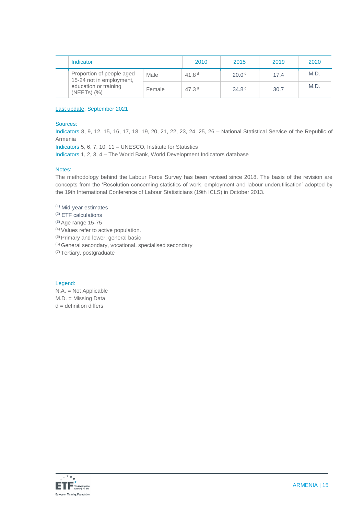|  | Indicator                                                                                          |        | 2010     | 2015              | 2019 | 2020 |
|--|----------------------------------------------------------------------------------------------------|--------|----------|-------------------|------|------|
|  | Proportion of people aged<br>15-24 not in employment,<br>education or training<br>$(NEETS)$ $(\%)$ | Male   | 41.8 $d$ | 20.0 <sup>d</sup> | 17.4 | M.D. |
|  |                                                                                                    | Female | 47.3 $d$ | 34.8 <sup>d</sup> | 30.7 | M.D. |

#### Last update: September 2021

#### Sources:

Indicators 8, 9, 12, 15, 16, 17, 18, 19, 20, 21, 22, 23, 24, 25, 26 – National Statistical Service of the Republic of Armenia

Indicators 5, 6, 7, 10, 11 – UNESCO, Institute for Statistics

Indicators 1, 2, 3, 4 – The World Bank, World Development Indicators database

#### Notes:

The methodology behind the Labour Force Survey has been revised since 2018. The basis of the revision are concepts from the 'Resolution concerning statistics of work, employment and labour underutilisation' adopted by the 19th International Conference of Labour Statisticians (19th ICLS) in October 2013.

#### (1) Mid-year estimates

(2) ETF calculations

- (3) Age range 15-75
- (4) Values refer to active population.
- (5) Primary and lower, general basic
- (6) General secondary, vocational, specialised secondary

(7) Tertiary, postgraduate

#### Legend:

N.A. = Not Applicable M.D. = Missing Data  $d =$  definition differs

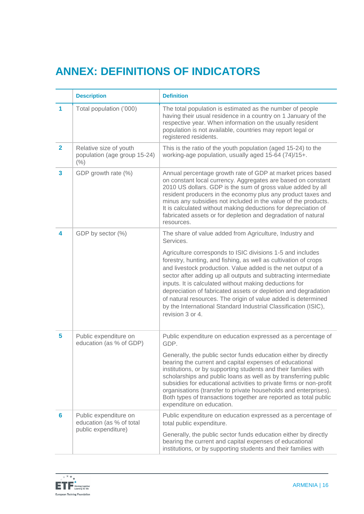## **ANNEX: DEFINITIONS OF INDICATORS**

|                         | <b>Description</b>                                             | <b>Definition</b>                                                                                                                                                                                                                                                                                                                                                                                                                                                                                                                                    |
|-------------------------|----------------------------------------------------------------|------------------------------------------------------------------------------------------------------------------------------------------------------------------------------------------------------------------------------------------------------------------------------------------------------------------------------------------------------------------------------------------------------------------------------------------------------------------------------------------------------------------------------------------------------|
| 1                       | Total population ('000)                                        | The total population is estimated as the number of people<br>having their usual residence in a country on 1 January of the<br>respective year. When information on the usually resident<br>population is not available, countries may report legal or<br>registered residents.                                                                                                                                                                                                                                                                       |
| $\mathbf{2}$            | Relative size of youth<br>population (age group 15-24)<br>(% ) | This is the ratio of the youth population (aged 15-24) to the<br>working-age population, usually aged 15-64 (74)/15+.                                                                                                                                                                                                                                                                                                                                                                                                                                |
| $\overline{\mathbf{3}}$ | GDP growth rate (%)                                            | Annual percentage growth rate of GDP at market prices based<br>on constant local currency. Aggregates are based on constant<br>2010 US dollars. GDP is the sum of gross value added by all<br>resident producers in the economy plus any product taxes and<br>minus any subsidies not included in the value of the products.<br>It is calculated without making deductions for depreciation of<br>fabricated assets or for depletion and degradation of natural<br>resources.                                                                        |
| 4                       | GDP by sector (%)                                              | The share of value added from Agriculture, Industry and<br>Services.                                                                                                                                                                                                                                                                                                                                                                                                                                                                                 |
|                         |                                                                | Agriculture corresponds to ISIC divisions 1-5 and includes<br>forestry, hunting, and fishing, as well as cultivation of crops<br>and livestock production. Value added is the net output of a<br>sector after adding up all outputs and subtracting intermediate<br>inputs. It is calculated without making deductions for<br>depreciation of fabricated assets or depletion and degradation<br>of natural resources. The origin of value added is determined<br>by the International Standard Industrial Classification (ISIC),<br>revision 3 or 4. |
| 5                       | Public expenditure on<br>education (as % of GDP)               | Public expenditure on education expressed as a percentage of<br>GDP.                                                                                                                                                                                                                                                                                                                                                                                                                                                                                 |
|                         |                                                                | Generally, the public sector funds education either by directly<br>bearing the current and capital expenses of educational<br>institutions, or by supporting students and their families with<br>scholarships and public loans as well as by transferring public<br>subsidies for educational activities to private firms or non-profit<br>organisations (transfer to private households and enterprises).<br>Both types of transactions together are reported as total public<br>expenditure on education.                                          |
| 6                       | Public expenditure on<br>education (as % of total              | Public expenditure on education expressed as a percentage of<br>total public expenditure.                                                                                                                                                                                                                                                                                                                                                                                                                                                            |
| public expenditure)     |                                                                | Generally, the public sector funds education either by directly<br>bearing the current and capital expenses of educational<br>institutions, or by supporting students and their families with                                                                                                                                                                                                                                                                                                                                                        |

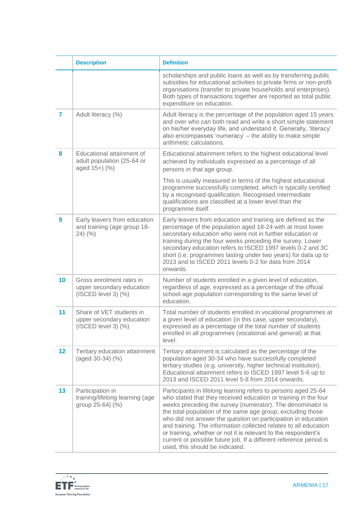|                  | <b>Description</b>                                                                | <b>Definition</b>                                                                                                                                                                                                                                                                                                                                                                                                                                                                                                                                                              |
|------------------|-----------------------------------------------------------------------------------|--------------------------------------------------------------------------------------------------------------------------------------------------------------------------------------------------------------------------------------------------------------------------------------------------------------------------------------------------------------------------------------------------------------------------------------------------------------------------------------------------------------------------------------------------------------------------------|
|                  |                                                                                   | scholarships and public loans as well as by transferring public<br>subsidies for educational activities to private firms or non-profit<br>organisations (transfer to private households and enterprises).<br>Both types of transactions together are reported as total public<br>expenditure on education.                                                                                                                                                                                                                                                                     |
| $\overline{7}$   | Adult literacy (%)                                                                | Adult literacy is the percentage of the population aged 15 years<br>and over who can both read and write a short simple statement<br>on his/her everyday life, and understand it. Generally, 'literacy'<br>also encompasses 'numeracy' - the ability to make simple<br>arithmetic calculations.                                                                                                                                                                                                                                                                                |
| 8                | Educational attainment of<br>adult population (25-64 or<br>aged 15+) (%)          | Educational attainment refers to the highest educational level<br>achieved by individuals expressed as a percentage of all<br>persons in that age group.                                                                                                                                                                                                                                                                                                                                                                                                                       |
|                  |                                                                                   | This is usually measured in terms of the highest educational<br>programme successfully completed, which is typically certified<br>by a recognised qualification. Recognised intermediate<br>qualifications are classified at a lower level than the<br>programme itself.                                                                                                                                                                                                                                                                                                       |
| $\boldsymbol{9}$ | Early leavers from education<br>and training (age group 18-<br>$24)$ (%)          | Early leavers from education and training are defined as the<br>percentage of the population aged 18-24 with at most lower<br>secondary education who were not in further education or<br>training during the four weeks preceding the survey. Lower<br>secondary education refers to ISCED 1997 levels 0-2 and 3C<br>short (i.e. programmes lasting under two years) for data up to<br>2013 and to ISCED 2011 levels 0-2 for data from 2014<br>onwards.                                                                                                                       |
| 10               | Gross enrolment rates in<br>upper secondary education<br>$(ISCED level 3)$ $(\%)$ | Number of students enrolled in a given level of education,<br>regardless of age, expressed as a percentage of the official<br>school-age population corresponding to the same level of<br>education.                                                                                                                                                                                                                                                                                                                                                                           |
| 11               | Share of VET students in<br>upper secondary education<br>$(ISCED level 3)$ $(\%)$ | Total number of students enrolled in vocational programmes at<br>a given level of education (in this case, upper secondary),<br>expressed as a percentage of the total number of students<br>enrolled in all programmes (vocational and general) at that<br>level.                                                                                                                                                                                                                                                                                                             |
| 12               | Tertiary education attainment<br>(aged 30-34) (%)                                 | Tertiary attainment is calculated as the percentage of the<br>population aged 30-34 who have successfully completed<br>tertiary studies (e.g. university, higher technical institution).<br>Educational attainment refers to ISCED 1997 level 5-6 up to<br>2013 and ISCED 2011 level 5-8 from 2014 onwards.                                                                                                                                                                                                                                                                    |
| 13               | Participation in<br>training/lifelong learning (age<br>group 25-64) (%)           | Participants in lifelong learning refers to persons aged 25-64<br>who stated that they received education or training in the four<br>weeks preceding the survey (numerator). The denominator is<br>the total population of the same age group, excluding those<br>who did not answer the question on participation in education<br>and training. The information collected relates to all education<br>or training, whether or not it is relevant to the respondent's<br>current or possible future job. If a different reference period is<br>used, this should be indicated. |

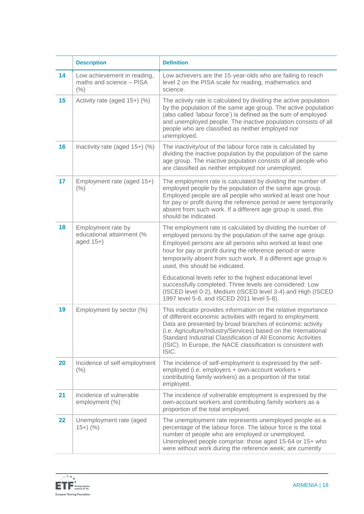|    | <b>Description</b>                                              | <b>Definition</b>                                                                                                                                                                                                                                                                                                                                                                                        |
|----|-----------------------------------------------------------------|----------------------------------------------------------------------------------------------------------------------------------------------------------------------------------------------------------------------------------------------------------------------------------------------------------------------------------------------------------------------------------------------------------|
| 14 | Low achievement in reading,<br>maths and science - PISA<br>(% ) | Low achievers are the 15-year-olds who are failing to reach<br>level 2 on the PISA scale for reading, mathematics and<br>science.                                                                                                                                                                                                                                                                        |
| 15 | Activity rate (aged 15+) (%)                                    | The activity rate is calculated by dividing the active population<br>by the population of the same age group. The active population<br>(also called 'labour force') is defined as the sum of employed<br>and unemployed people. The inactive population consists of all<br>people who are classified as neither employed nor<br>unemployed.                                                              |
| 16 | Inactivity rate (aged 15+) (%)                                  | The inactivity/out of the labour force rate is calculated by<br>dividing the inactive population by the population of the same<br>age group. The inactive population consists of all people who<br>are classified as neither employed nor unemployed.                                                                                                                                                    |
| 17 | Employment rate (aged 15+)<br>(% )                              | The employment rate is calculated by dividing the number of<br>employed people by the population of the same age group.<br>Employed people are all people who worked at least one hour<br>for pay or profit during the reference period or were temporarily<br>absent from such work. If a different age group is used, this<br>should be indicated.                                                     |
| 18 | Employment rate by<br>educational attainment (%<br>aged 15+)    | The employment rate is calculated by dividing the number of<br>employed persons by the population of the same age group.<br>Employed persons are all persons who worked at least one<br>hour for pay or profit during the reference period or were<br>temporarily absent from such work. If a different age group is<br>used, this should be indicated.                                                  |
|    |                                                                 | Educational levels refer to the highest educational level<br>successfully completed. Three levels are considered: Low<br>(ISCED level 0-2), Medium (ISCED level 3-4) and High (ISCED<br>1997 level 5-6, and ISCED 2011 level 5-8).                                                                                                                                                                       |
| 19 | Employment by sector (%)                                        | This indicator provides information on the relative importance<br>of different economic activities with regard to employment.<br>Data are presented by broad branches of economic activity<br>(i.e. Agriculture/Industry/Services) based on the International<br>Standard Industrial Classification of All Economic Activities<br>(ISIC). In Europe, the NACE classification is consistent with<br>ISIC. |
| 20 | Incidence of self-employment<br>(% )                            | The incidence of self-employment is expressed by the self-<br>employed (i.e. employers + own-account workers +<br>contributing family workers) as a proportion of the total<br>employed.                                                                                                                                                                                                                 |
| 21 | Incidence of vulnerable<br>employment (%)                       | The incidence of vulnerable employment is expressed by the<br>own-account workers and contributing family workers as a<br>proportion of the total employed.                                                                                                                                                                                                                                              |
| 22 | Unemployment rate (aged<br>$15+)$ (%)                           | The unemployment rate represents unemployed people as a<br>percentage of the labour force. The labour force is the total<br>number of people who are employed or unemployed.<br>Unemployed people comprise: those aged 15-64 or 15+ who<br>were without work during the reference week; are currently                                                                                                    |

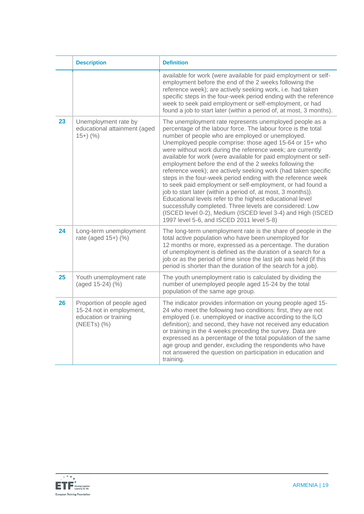|    | <b>Description</b>                                                                                 | <b>Definition</b>                                                                                                                                                                                                                                                                                                                                                                                                                                                                                                                                                                                                                                                                                                                                                                                                                                                                                                                       |
|----|----------------------------------------------------------------------------------------------------|-----------------------------------------------------------------------------------------------------------------------------------------------------------------------------------------------------------------------------------------------------------------------------------------------------------------------------------------------------------------------------------------------------------------------------------------------------------------------------------------------------------------------------------------------------------------------------------------------------------------------------------------------------------------------------------------------------------------------------------------------------------------------------------------------------------------------------------------------------------------------------------------------------------------------------------------|
|    |                                                                                                    | available for work (were available for paid employment or self-<br>employment before the end of the 2 weeks following the<br>reference week); are actively seeking work, i.e. had taken<br>specific steps in the four-week period ending with the reference<br>week to seek paid employment or self-employment, or had<br>found a job to start later (within a period of, at most, 3 months).                                                                                                                                                                                                                                                                                                                                                                                                                                                                                                                                           |
| 23 | Unemployment rate by<br>educational attainment (aged<br>$15+)$ (%)                                 | The unemployment rate represents unemployed people as a<br>percentage of the labour force. The labour force is the total<br>number of people who are employed or unemployed.<br>Unemployed people comprise: those aged 15-64 or 15+ who<br>were without work during the reference week; are currently<br>available for work (were available for paid employment or self-<br>employment before the end of the 2 weeks following the<br>reference week); are actively seeking work (had taken specific<br>steps in the four-week period ending with the reference week<br>to seek paid employment or self-employment, or had found a<br>job to start later (within a period of, at most, 3 months)).<br>Educational levels refer to the highest educational level<br>successfully completed. Three levels are considered: Low<br>(ISCED level 0-2), Medium (ISCED level 3-4) and High (ISCED<br>1997 level 5-6, and ISCED 2011 level 5-8) |
| 24 | Long-term unemployment<br>rate (aged 15+) (%)                                                      | The long-term unemployment rate is the share of people in the<br>total active population who have been unemployed for<br>12 months or more, expressed as a percentage. The duration<br>of unemployment is defined as the duration of a search for a<br>job or as the period of time since the last job was held (if this<br>period is shorter than the duration of the search for a job).                                                                                                                                                                                                                                                                                                                                                                                                                                                                                                                                               |
| 25 | Youth unemployment rate<br>(aged 15-24) (%)                                                        | The youth unemployment ratio is calculated by dividing the<br>number of unemployed people aged 15-24 by the total<br>population of the same age group.                                                                                                                                                                                                                                                                                                                                                                                                                                                                                                                                                                                                                                                                                                                                                                                  |
| 26 | Proportion of people aged<br>15-24 not in employment,<br>education or training<br>$(NEETS)$ $(\%)$ | The indicator provides information on young people aged 15-<br>24 who meet the following two conditions: first, they are not<br>employed (i.e. unemployed or inactive according to the ILO<br>definition); and second, they have not received any education<br>or training in the 4 weeks preceding the survey. Data are<br>expressed as a percentage of the total population of the same<br>age group and gender, excluding the respondents who have<br>not answered the question on participation in education and<br>training.                                                                                                                                                                                                                                                                                                                                                                                                       |

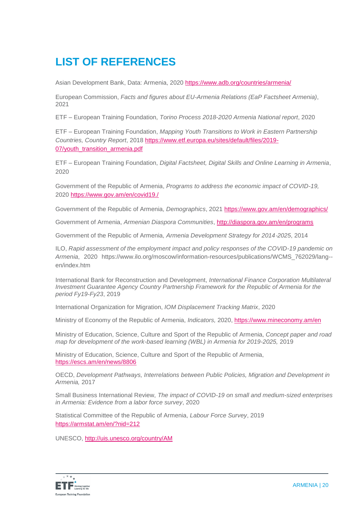# **LIST OF REFERENCES**

Asian Development Bank, Data: Armenia, 2020 <https://www.adb.org/countries/armenia/>

European Commission, *Facts and figures about EU-Armenia Relations (EaP Factsheet Armenia)*, 2021

ETF – European Training Foundation, *Torino Process 2018-2020 Armenia National report*, 2020

ETF – European Training Foundation, *Mapping Youth Transitions to Work in Eastern Partnership Countries, Country Report*, 2018 [https://www.etf.europa.eu/sites/default/files/2019-](https://www.etf.europa.eu/sites/default/files/2019-07/youth_transition_armenia.pdf) [07/youth\\_transition\\_armenia.pdf](https://www.etf.europa.eu/sites/default/files/2019-07/youth_transition_armenia.pdf)

ETF – European Training Foundation, *Digital Factsheet, Digital Skills and Online Learning in Armenia*, 2020

Government of the Republic of Armenia, *Programs to address the economic impact of COVID-19,*  2020 <https://www.gov.am/en/covid19./>

Government of the Republic of Armenia, *Demographics*, 2021<https://www.gov.am/en/demographics/>

Government of Armenia, *Armenian Diaspora Communities*,<http://diaspora.gov.am/en/programs>

Government of the Republic of Armenia, *Armenia Development Strategy for 2014*‐*2025*, 2014

ILO, *Rapid assessment of the employment impact and policy responses of the COVID-19 pandemic on Armenia*, 2020 https://www.ilo.org/moscow/information-resources/publications/WCMS\_762029/lang- en/index.htm

International Bank for Reconstruction and Development, *International Finance Corporation Multilateral Investment Guarantee Agency Country Partnership Framework for the Republic of Armenia for the period Fy19-Fy23*, 2019

International Organization for Migration, *IOM Displacement Tracking Matrix*, 2020

Ministry of Economy of the Republic of Armenia, *Indicators,* 2020,<https://www.mineconomy.am/en>

Ministry of Education, Science, Culture and Sport of the Republic of Armenia, *Concept paper and road map for development of the work-based learning (WBL) in Armenia for 2019-2025,* 2019

Ministry of Education, Science, Culture and Sport of the Republic of Armenia, <https://escs.am/en/news/8806>

OECD, *Development Pathways, Interrelations between Public Policies, Migration and Development in Armenia,* 2017

Small Business International Review, *The impact of COVID-19 on small and medium-sized enterprises in Armenia: Evidence from a labor force survey*, 2020

Statistical Committee of the Republic of Armenia, *Labour Force Survey*, 2019 <https://armstat.am/en/?nid=212>

UNESCO,<http://uis.unesco.org/country/AM>

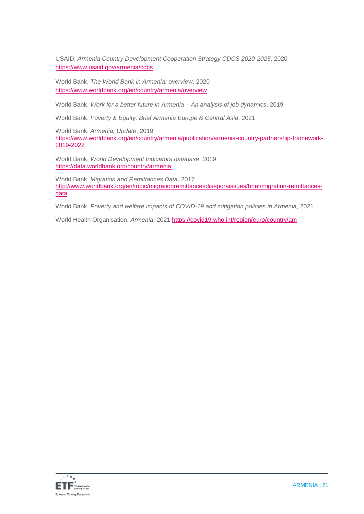USAID, *Armenia Country Development Cooperation Strategy CDCS 2020-2025*, 2020 <https://www.usaid.gov/armenia/cdcs>

World Bank, *The World Bank in Armenia: overview*, 2020 <https://www.worldbank.org/en/country/armenia/overview>

World Bank, *Work for a better future in Armenia – An analysis of job dynamics*, 2019

World Bank, *Poverty & Equity, Brief Armenia Europe & Central Asia*, 2021

World Bank, *Armenia, Update*, 2019 [https://www.worldbank.org/en/country/armenia/publication/armenia-country-partnership-framework-](https://www.worldbank.org/en/country/armenia/publication/armenia-country-partnership-framework-2019-2022)[2019-2022](https://www.worldbank.org/en/country/armenia/publication/armenia-country-partnership-framework-2019-2022)

World Bank, *World Development Indicators database*, 2019 <https://data.worldbank.org/country/armenia>

World Bank, *Migration and Remittances Data,* 2017 [http://www.worldbank.org/en/topic/migrationremittancesdiasporaissues/brief/migration-remittances](http://www.worldbank.org/en/topic/migrationremittancesdiasporaissues/brief/migration-remittances-data)[data](http://www.worldbank.org/en/topic/migrationremittancesdiasporaissues/brief/migration-remittances-data)

World Bank, *Poverty and welfare impacts of COVID-19 and mitigation policies in Armenia*, 2021

World Health Organisation, *Armenia*, 2021<https://covid19.who.int/region/euro/country/am>

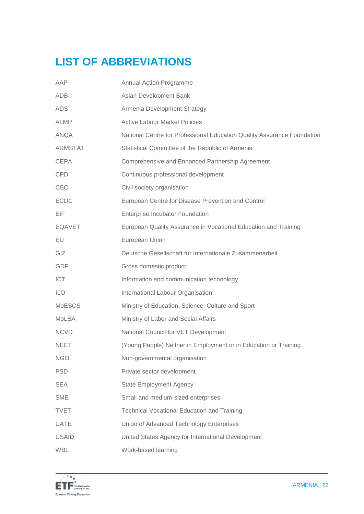# **LIST OF ABBREVIATIONS**

| AAP            | Annual Action Programme                                                 |
|----------------|-------------------------------------------------------------------------|
| ADB            | Asian Development Bank                                                  |
| <b>ADS</b>     | Armenia Development Strategy                                            |
| ALMP           | <b>Active Labour Market Policies</b>                                    |
| <b>ANQA</b>    | National Centre for Professional Education Quality Assurance Foundation |
| <b>ARMSTAT</b> | Statistical Committee of the Republic of Armenia                        |
| <b>CEPA</b>    | Comprehensive and Enhanced Partnership Agreement                        |
| <b>CPD</b>     | Continuous professional development                                     |
| <b>CSO</b>     | Civil society organisation                                              |
| <b>ECDC</b>    | European Centre for Disease Prevention and Control                      |
| EIF.           | <b>Enterprise Incubator Foundation</b>                                  |
| <b>EQAVET</b>  | European Quality Assurance in Vocational Education and Training         |
| EU             | European Union                                                          |
| <b>GIZ</b>     | Deutsche Gesellschaft für Internationale Zusammenarbeit                 |
| GDP            | Gross domestic product                                                  |
| <b>ICT</b>     | Information and communication technology                                |
| <b>ILO</b>     | International Labour Organisation                                       |
| <b>MoESCS</b>  | Ministry of Education, Science, Culture and Sport                       |
| <b>MoLSA</b>   | Ministry of Labor and Social Affairs                                    |
| <b>NCVD</b>    | National Council for VET Development                                    |
| <b>NEET</b>    | (Young People) Neither in Employment or in Education or Training        |
| <b>NGO</b>     | Non-governmental organisation                                           |
| <b>PSD</b>     | Private sector development                                              |
| <b>SEA</b>     | <b>State Employment Agency</b>                                          |
| <b>SME</b>     | Small and medium-sized enterprises                                      |
| <b>TVET</b>    | <b>Technical Vocational Education and Training</b>                      |
| <b>UATE</b>    | Union of Advanced Technology Enterprises                                |
| <b>USAID</b>   | United States Agency for International Development                      |
| <b>WBL</b>     | Work-based learning                                                     |

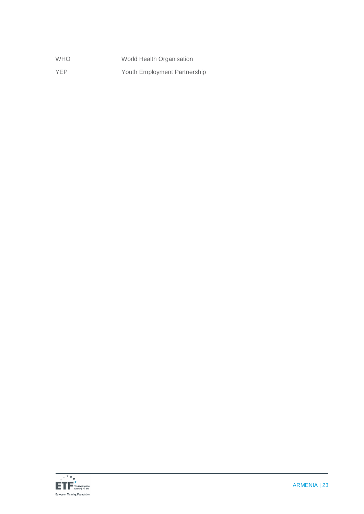| <b>WHO</b> | World Health Organisation    |
|------------|------------------------------|
| <b>YEP</b> | Youth Employment Partnership |